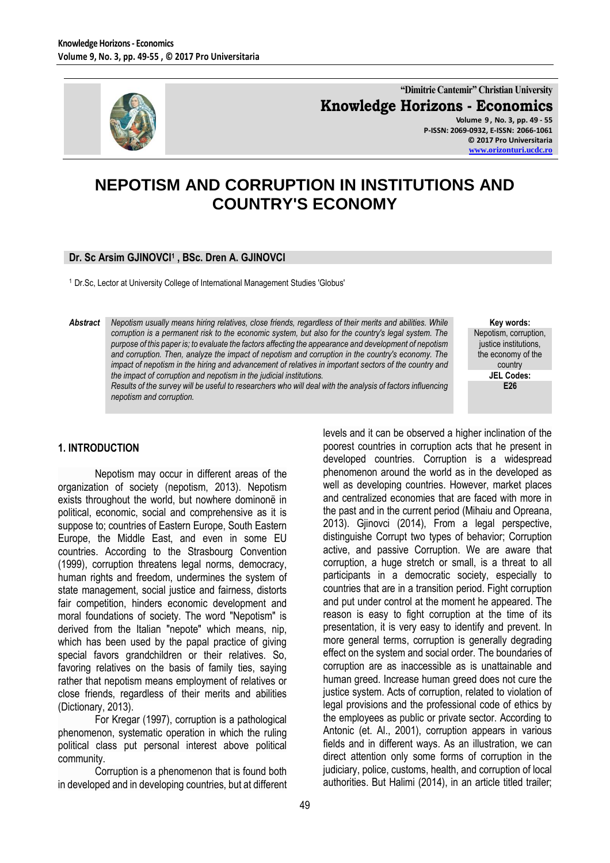

**"Dimitrie Cantemir" Christian University Knowledge Horizons - Economics Volume 9 , No. 3, pp. 49 - 55 P-ISSN: 2069-0932, E-ISSN: 2066-1061**

**© 2017 Pro Universitaria [www.orizonturi.ucdc.ro](http://www.orizonturi.ucdc.ro/)**

# **NEPOTISM AND CORRUPTION IN INSTITUTIONS AND COUNTRY'S ECONOMY**

## **Dr. Sc Arsim GJINOVCI<sup>1</sup> , BSc. Dren A. GJINOVCI**

<sup>1</sup> Dr.Sc, Lector at University College of International Management Studies 'Globus'

*Abstract Nepotism usually means hiring relatives, close friends, regardless of their merits and abilities. While corruption is a permanent risk to the economic system, but also for the country's legal system. The purpose of this paper is; to evaluate the factors affecting the appearance and development of nepotism and corruption. Then, analyze the impact of nepotism and corruption in the country's economy. The impact of nepotism in the hiring and advancement of relatives in important sectors of the country and the impact of corruption and nepotism in the judicial institutions.*

*Results of the survey will be useful to researchers who will deal with the analysis of factors influencing nepotism and corruption.*

**Key words:**

Nepotism, corruption, justice institutions, the economy of the country **JEL Codes: E26**

## **1. INTRODUCTION**

Nepotism may occur in different areas of the organization of society (nepotism, 2013). Nepotism exists throughout the world, but nowhere dominonë in political, economic, social and comprehensive as it is suppose to; countries of Eastern Europe, South Eastern Europe, the Middle East, and even in some EU countries. According to the Strasbourg Convention (1999), corruption threatens legal norms, democracy, human rights and freedom, undermines the system of state management, social justice and fairness, distorts fair competition, hinders economic development and moral foundations of society. The word "Nepotism" is derived from the Italian "nepote" which means, nip, which has been used by the papal practice of giving special favors grandchildren or their relatives. So, favoring relatives on the basis of family ties, saying rather that nepotism means employment of relatives or close friends, regardless of their merits and abilities (Dictionary, 2013).

For Kregar (1997), corruption is a pathological phenomenon, systematic operation in which the ruling political class put personal interest above political community.

Corruption is a phenomenon that is found both in developed and in developing countries, but at different

levels and it can be observed a higher inclination of the poorest countries in corruption acts that he present in developed countries. Corruption is a widespread phenomenon around the world as in the developed as well as developing countries. However, market places and centralized economies that are faced with more in the past and in the current period (Mihaiu and Opreana, 2013). Gjinovci (2014), From a legal perspective, distinguishe Corrupt two types of behavior; Corruption active, and passive Corruption. We are aware that corruption, a huge stretch or small, is a threat to all participants in a democratic society, especially to countries that are in a transition period. Fight corruption and put under control at the moment he appeared. The reason is easy to fight corruption at the time of its presentation, it is very easy to identify and prevent. In more general terms, corruption is generally degrading effect on the system and social order. The boundaries of corruption are as inaccessible as is unattainable and human greed. Increase human greed does not cure the justice system. Acts of corruption, related to violation of legal provisions and the professional code of ethics by the employees as public or private sector. According to Antonic (et. Al., 2001), corruption appears in various fields and in different ways. As an illustration, we can direct attention only some forms of corruption in the judiciary, police, customs, health, and corruption of local authorities. But Halimi (2014), in an article titled trailer;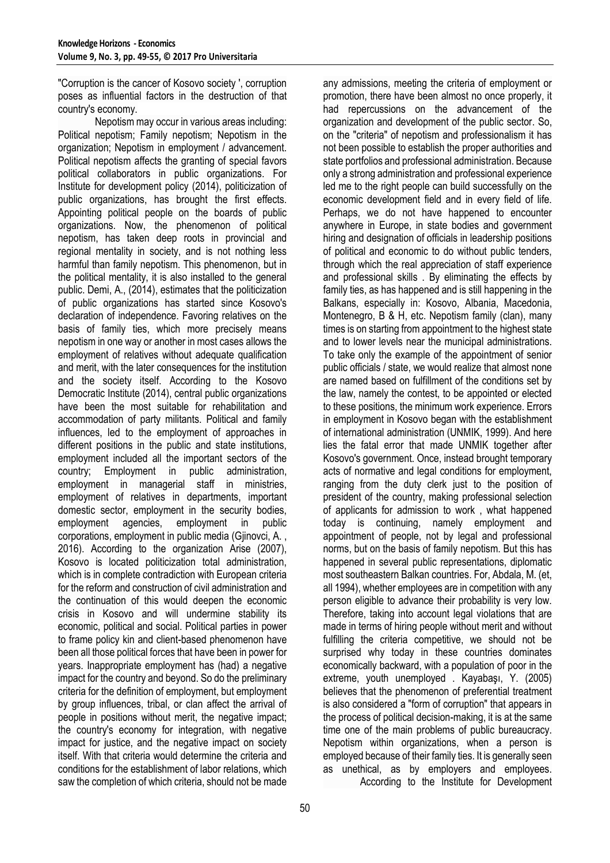"Corruption is the cancer of Kosovo society ', corruption poses as influential factors in the destruction of that country's economy.

Nepotism may occur in various areas including: Political nepotism; Family nepotism; Nepotism in the organization; Nepotism in employment / advancement. Political nepotism affects the granting of special favors political collaborators in public organizations. For Institute for development policy (2014), politicization of public organizations, has brought the first effects. Appointing political people on the boards of public organizations. Now, the phenomenon of political nepotism, has taken deep roots in provincial and regional mentality in society, and is not nothing less harmful than family nepotism. This phenomenon, but in the political mentality, it is also installed to the general public. Demi, A., (2014), estimates that the politicization of public organizations has started since Kosovo's declaration of independence. Favoring relatives on the basis of family ties, which more precisely means nepotism in one way or another in most cases allows the employment of relatives without adequate qualification and merit, with the later consequences for the institution and the society itself. According to the Kosovo Democratic Institute (2014), central public organizations have been the most suitable for rehabilitation and accommodation of party militants. Political and family influences, led to the employment of approaches in different positions in the public and state institutions, employment included all the important sectors of the country; Employment in public administration, employment in managerial staff in ministries, employment of relatives in departments, important domestic sector, employment in the security bodies, employment agencies, employment in public corporations, employment in public media (Gjinovci, A. , 2016). According to the organization Arise (2007), Kosovo is located politicization total administration, which is in complete contradiction with European criteria for the reform and construction of civil administration and the continuation of this would deepen the economic crisis in Kosovo and will undermine stability its economic, political and social. Political parties in power to frame policy kin and client-based phenomenon have been all those political forces that have been in power for years. Inappropriate employment has (had) a negative impact for the country and beyond. So do the preliminary criteria for the definition of employment, but employment by group influences, tribal, or clan affect the arrival of people in positions without merit, the negative impact; the country's economy for integration, with negative impact for justice, and the negative impact on society itself. With that criteria would determine the criteria and conditions for the establishment of labor relations, which saw the completion of which criteria, should not be made

any admissions, meeting the criteria of employment or promotion, there have been almost no once properly, it had repercussions on the advancement of the organization and development of the public sector. So, on the "criteria" of nepotism and professionalism it has not been possible to establish the proper authorities and state portfolios and professional administration. Because only a strong administration and professional experience led me to the right people can build successfully on the economic development field and in every field of life. Perhaps, we do not have happened to encounter anywhere in Europe, in state bodies and government hiring and designation of officials in leadership positions of political and economic to do without public tenders, through which the real appreciation of staff experience and professional skills . By eliminating the effects by family ties, as has happened and is still happening in the Balkans, especially in: Kosovo, Albania, Macedonia, Montenegro, B & H, etc. Nepotism family (clan), many times is on starting from appointment to the highest state and to lower levels near the municipal administrations. To take only the example of the appointment of senior public officials / state, we would realize that almost none are named based on fulfillment of the conditions set by the law, namely the contest, to be appointed or elected to these positions, the minimum work experience. Errors in employment in Kosovo began with the establishment of international administration (UNMIK, 1999). And here lies the fatal error that made UNMIK together after Kosovo's government. Once, instead brought temporary acts of normative and legal conditions for employment, ranging from the duty clerk just to the position of president of the country, making professional selection of applicants for admission to work , what happened today is continuing, namely employment and appointment of people, not by legal and professional norms, but on the basis of family nepotism. But this has happened in several public representations, diplomatic most southeastern Balkan countries. For, Abdala, M. (et, all 1994), whether employees are in competition with any person eligible to advance their probability is very low. Therefore, taking into account legal violations that are made in terms of hiring people without merit and without fulfilling the criteria competitive, we should not be surprised why today in these countries dominates economically backward, with a population of poor in the extreme, youth unemployed . Kayabaşı, Y. (2005) believes that the phenomenon of preferential treatment is also considered a "form of corruption" that appears in the process of political decision-making, it is at the same time one of the main problems of public bureaucracy. Nepotism within organizations, when a person is employed because of their family ties. It is generally seen as unethical, as by employers and employees.

According to the Institute for Development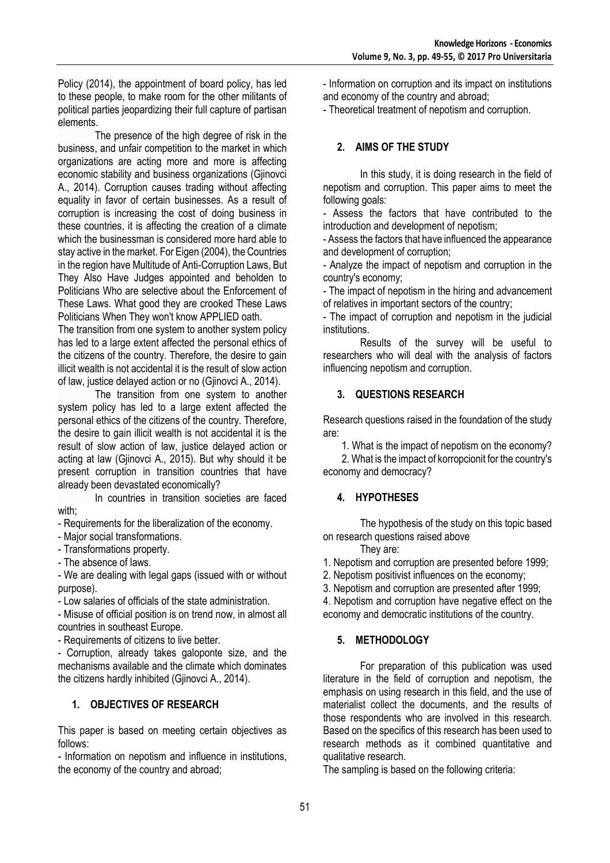Policy (2014), the appointment of board policy, has led to these people, to make room for the other militants of political parties jeopardizing their full capture of partisan elements.

The presence of the high degree of risk in the business, and unfair competition to the market in which organizations are acting more and more is affecting economic stability and business organizations (Gjinovci A., 2014). Corruption causes trading without affecting equality in favor of certain businesses. As a result of corruption is increasing the cost of doing business in these countries, it is affecting the creation of a climate which the businessman is considered more hard able to stay active in the market. For Eigen (2004), the Countries in the region have Multitude of Anti-Corruption Laws, But They Also Have Judges appointed and beholden to Politicians Who are selective about the Enforcement of These Laws. What good they are crooked These Laws Politicians When They won't know APPLIED oath.

The transition from one system to another system policy has led to a large extent affected the personal ethics of the citizens of the country. Therefore, the desire to gain illicit wealth is not accidental it is the result of slow action of law, justice delayed action or no (Gjinovci A., 2014).

The transition from one system to another system policy has led to a large extent affected the personal ethics of the citizens of the country. Therefore, the desire to gain illicit wealth is not accidental it is the result of slow action of law, justice delayed action or acting at law (Gjinovci A., 2015). But why should it be present corruption in transition countries that have already been devastated economically?

In countries in transition societies are faced with;

- Requirements for the liberalization of the economy.

- Major social transformations.

- Transformations property.

- The absence of laws.

- We are dealing with legal gaps (issued with or without purpose).

- Low salaries of officials of the state administration.

- Misuse of official position is on trend now, in almost all countries in southeast Europe.

- Requirements of citizens to live better.

- Corruption, already takes galoponte size, and the mechanisms available and the climate which dominates the citizens hardly inhibited (Gjinovci A., 2014).

# **1. OBJECTIVES OF RESEARCH**

This paper is based on meeting certain objectives as follows:

- Information on nepotism and influence in institutions, the economy of the country and abroad;

- Information on corruption and its impact on institutions and economy of the country and abroad;

- Theoretical treatment of nepotism and corruption.

# **2. AIMS OF THE STUDY**

In this study, it is doing research in the field of nepotism and corruption. This paper aims to meet the following goals:

- Assess the factors that have contributed to the introduction and development of nepotism;

- Assess the factors that have influenced the appearance and development of corruption;

- Analyze the impact of nepotism and corruption in the country's economy;

- The impact of nepotism in the hiring and advancement of relatives in important sectors of the country;

- The impact of corruption and nepotism in the judicial institutions.

Results of the survey will be useful to researchers who will deal with the analysis of factors influencing nepotism and corruption.

## **3. QUESTIONS RESEARCH**

Research questions raised in the foundation of the study are:

1. What is the impact of nepotism on the economy?

2. What is the impact of korropcionit for the country's economy and democracy?

# **4. HYPOTHESES**

The hypothesis of the study on this topic based on research questions raised above They are:

1. Nepotism and corruption are presented before 1999;

2. Nepotism positivist influences on the economy;

3. Nepotism and corruption are presented after 1999;

4. Nepotism and corruption have negative effect on the economy and democratic institutions of the country.

# **5. METHODOLOGY**

For preparation of this publication was used literature in the field of corruption and nepotism, the emphasis on using research in this field, and the use of materialist collect the documents, and the results of those respondents who are involved in this research. Based on the specifics of this research has been used to research methods as it combined quantitative and qualitative research.

The sampling is based on the following criteria: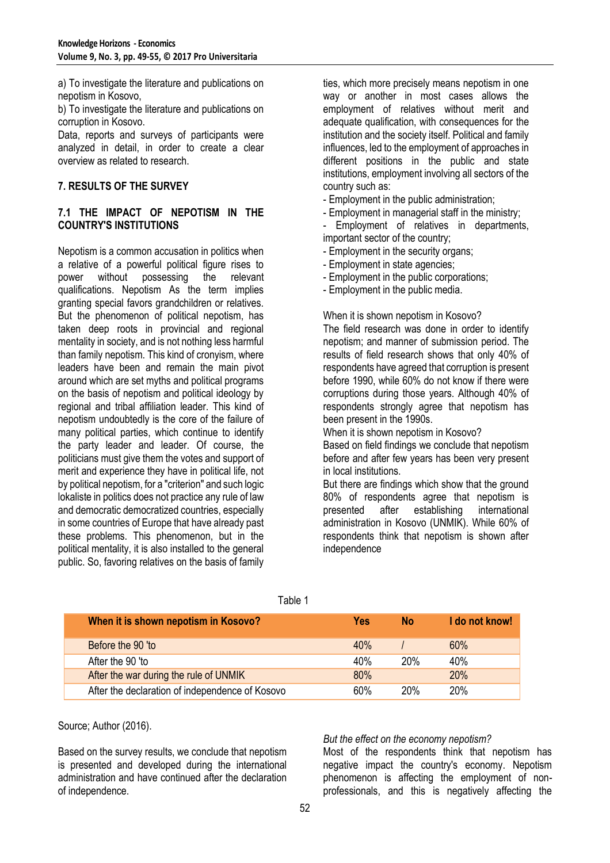a) To investigate the literature and publications on nepotism in Kosovo,

b) To investigate the literature and publications on corruption in Kosovo.

Data, reports and surveys of participants were analyzed in detail, in order to create a clear overview as related to research.

## **7. RESULTS OF THE SURVEY**

### **7.1 THE IMPACT OF NEPOTISM IN THE COUNTRY'S INSTITUTIONS**

Nepotism is a common accusation in politics when a relative of a powerful political figure rises to power without possessing the relevant qualifications. Nepotism As the term implies granting special favors grandchildren or relatives. But the phenomenon of political nepotism, has taken deep roots in provincial and regional mentality in society, and is not nothing less harmful than family nepotism. This kind of cronyism, where leaders have been and remain the main pivot around which are set myths and political programs on the basis of nepotism and political ideology by regional and tribal affiliation leader. This kind of nepotism undoubtedly is the core of the failure of many political parties, which continue to identify the party leader and leader. Of course, the politicians must give them the votes and support of merit and experience they have in political life, not by political nepotism, for a "criterion" and such logic lokaliste in politics does not practice any rule of law and democratic democratized countries, especially in some countries of Europe that have already past these problems. This phenomenon, but in the political mentality, it is also installed to the general public. So, favoring relatives on the basis of family ties, which more precisely means nepotism in one way or another in most cases allows the employment of relatives without merit and adequate qualification, with consequences for the institution and the society itself. Political and family influences, led to the employment of approaches in different positions in the public and state institutions, employment involving all sectors of the country such as:

- Employment in the public administration;

- Employment in managerial staff in the ministry;

Employment of relatives in departments, important sector of the country;

- Employment in the security organs;
- Employment in state agencies;

- Employment in the public corporations;

- Employment in the public media.

#### When it is shown nepotism in Kosovo?

The field research was done in order to identify nepotism; and manner of submission period. The results of field research shows that only 40% of respondents have agreed that corruption is present before 1990, while 60% do not know if there were corruptions during those years. Although 40% of respondents strongly agree that nepotism has been present in the 1990s.

When it is shown nepotism in Kosovo?

Based on field findings we conclude that nepotism before and after few years has been very present in local institutions.

But there are findings which show that the ground 80% of respondents agree that nepotism is presented after establishing international administration in Kosovo (UNMIK). While 60% of respondents think that nepotism is shown after independence

| When it is shown nepotism in Kosovo?            | <b>Yes</b> | No         | I do not know! |
|-------------------------------------------------|------------|------------|----------------|
| Before the 90 'to                               | 40%        |            | 60%            |
| After the 90 'to                                | 40%        | <b>20%</b> | 40%            |
| After the war during the rule of UNMIK          | 80%        |            | 20%            |
| After the declaration of independence of Kosovo | 60%        | 20%        | 20%            |

Table 1

Source; Author (2016).

Based on the survey results, we conclude that nepotism is presented and developed during the international administration and have continued after the declaration of independence.

#### *But the effect on the economy nepotism?*

Most of the respondents think that nepotism has negative impact the country's economy. Nepotism phenomenon is affecting the employment of nonprofessionals, and this is negatively affecting the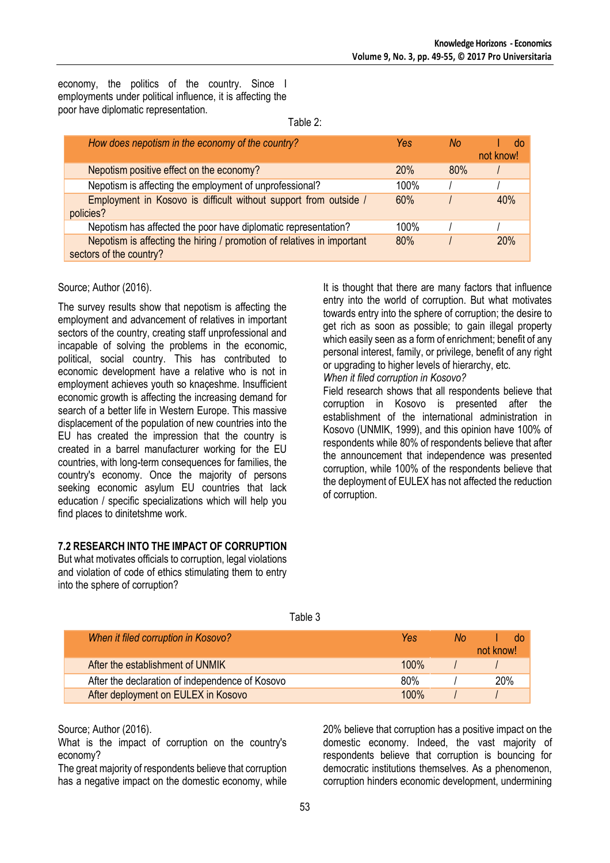economy, the politics of the country. Since I employments under political influence, it is affecting the poor have diplomatic representation.

Table 2:

| How does nepotism in the economy of the country?                                                  | Yes     | No. | not know! |
|---------------------------------------------------------------------------------------------------|---------|-----|-----------|
| Nepotism positive effect on the economy?                                                          | 20%     | 80% |           |
| Nepotism is affecting the employment of unprofessional?                                           | 100%    |     |           |
| Employment in Kosovo is difficult without support from outside /<br>policies?                     | 60%     |     | 40%       |
| Nepotism has affected the poor have diplomatic representation?                                    | $100\%$ |     |           |
| Nepotism is affecting the hiring / promotion of relatives in important<br>sectors of the country? | 80%     |     | 20%       |

#### Source; Author (2016).

The survey results show that nepotism is affecting the employment and advancement of relatives in important sectors of the country, creating staff unprofessional and incapable of solving the problems in the economic, political, social country. This has contributed to economic development have a relative who is not in employment achieves youth so knaçeshme. Insufficient economic growth is affecting the increasing demand for search of a better life in Western Europe. This massive displacement of the population of new countries into the EU has created the impression that the country is created in a barrel manufacturer working for the EU countries, with long-term consequences for families, the country's economy. Once the majority of persons seeking economic asylum EU countries that lack education / specific specializations which will help you find places to dinitetshme work.

#### **7.2 RESEARCH INTO THE IMPACT OF CORRUPTION**

But what motivates officials to corruption, legal violations and violation of code of ethics stimulating them to entry into the sphere of corruption?

It is thought that there are many factors that influence entry into the world of corruption. But what motivates towards entry into the sphere of corruption; the desire to get rich as soon as possible; to gain illegal property which easily seen as a form of enrichment; benefit of any personal interest, family, or privilege, benefit of any right or upgrading to higher levels of hierarchy, etc.

*When it filed corruption in Kosovo?*

Field research shows that all respondents believe that corruption in Kosovo is presented after the establishment of the international administration in Kosovo (UNMIK, 1999), and this opinion have 100% of respondents while 80% of respondents believe that after the announcement that independence was presented corruption, while 100% of the respondents believe that the deployment of EULEX has not affected the reduction of corruption.

| When it filed corruption in Kosovo?             | Yes     | No. | do        |
|-------------------------------------------------|---------|-----|-----------|
|                                                 |         |     | not know! |
| After the establishment of UNMIK                | $100\%$ |     |           |
| After the declaration of independence of Kosovo | 80%     |     | 20%       |
| After deployment on EULEX in Kosovo             | 100%    |     |           |

## Table 3

Source; Author (2016).

What is the impact of corruption on the country's economy?

The great majority of respondents believe that corruption has a negative impact on the domestic economy, while 20% believe that corruption has a positive impact on the domestic economy. Indeed, the vast majority of respondents believe that corruption is bouncing for democratic institutions themselves. As a phenomenon, corruption hinders economic development, undermining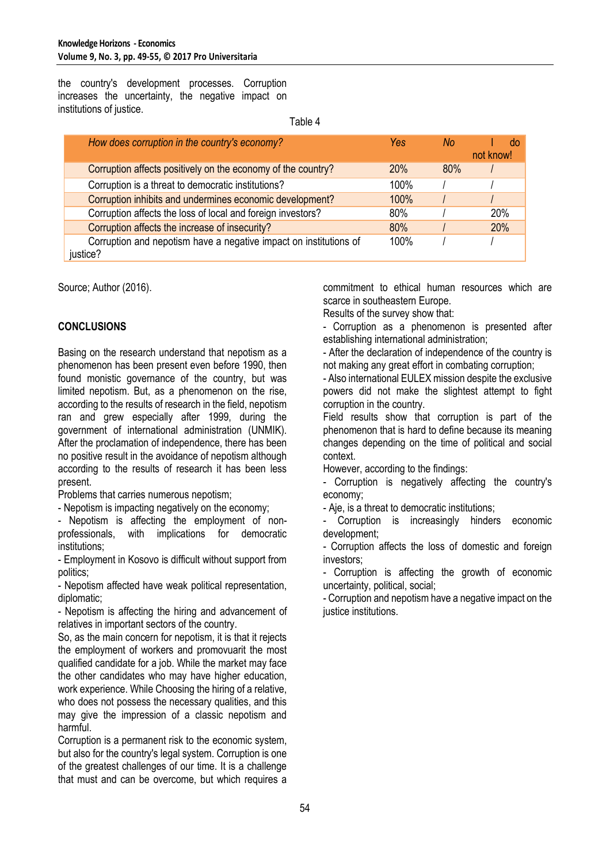the country's development processes. Corruption increases the uncertainty, the negative impact on institutions of justice.

Table 4

| How does corruption in the country's economy?                                 | Yes     | No. | not know! |
|-------------------------------------------------------------------------------|---------|-----|-----------|
| Corruption affects positively on the economy of the country?                  | 20%     | 80% |           |
| Corruption is a threat to democratic institutions?                            | $100\%$ |     |           |
| Corruption inhibits and undermines economic development?                      | 100%    |     |           |
| Corruption affects the loss of local and foreign investors?                   | 80%     |     | 20%       |
| Corruption affects the increase of insecurity?                                | 80%     |     | 20%       |
| Corruption and nepotism have a negative impact on institutions of<br>justice? | 100%    |     |           |

Source; Author (2016).

## **CONCLUSIONS**

Basing on the research understand that nepotism as a phenomenon has been present even before 1990, then found monistic governance of the country, but was limited nepotism. But, as a phenomenon on the rise, according to the results of research in the field, nepotism ran and grew especially after 1999, during the government of international administration (UNMIK). After the proclamation of independence, there has been no positive result in the avoidance of nepotism although according to the results of research it has been less present.

Problems that carries numerous nepotism;

- Nepotism is impacting negatively on the economy;

- Nepotism is affecting the employment of nonprofessionals, with implications for democratic institutions;

- Employment in Kosovo is difficult without support from politics;

- Nepotism affected have weak political representation, diplomatic;

- Nepotism is affecting the hiring and advancement of relatives in important sectors of the country.

So, as the main concern for nepotism, it is that it rejects the employment of workers and promovuarit the most qualified candidate for a job. While the market may face the other candidates who may have higher education, work experience. While Choosing the hiring of a relative, who does not possess the necessary qualities, and this may give the impression of a classic nepotism and harmful.

Corruption is a permanent risk to the economic system, but also for the country's legal system. Corruption is one of the greatest challenges of our time. It is a challenge that must and can be overcome, but which requires a commitment to ethical human resources which are scarce in southeastern Europe.

Results of the survey show that:

- Corruption as a phenomenon is presented after establishing international administration;

- After the declaration of independence of the country is not making any great effort in combating corruption;

- Also international EULEX mission despite the exclusive powers did not make the slightest attempt to fight corruption in the country.

Field results show that corruption is part of the phenomenon that is hard to define because its meaning changes depending on the time of political and social context.

However, according to the findings:

- Corruption is negatively affecting the country's economy;

- Aje, is a threat to democratic institutions;

Corruption is increasingly hinders economic development;

- Corruption affects the loss of domestic and foreign investors;

- Corruption is affecting the growth of economic uncertainty, political, social;

- Corruption and nepotism have a negative impact on the justice institutions.